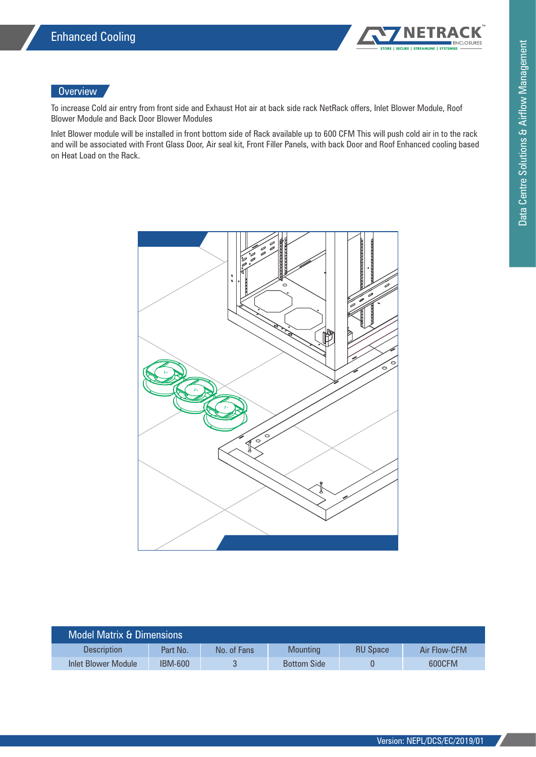

## **Overview**

To increase Cold air entry from front side and Exhaust Hot air at back side rack NetRack offers, Inlet Blower Module, Roof Blower Module and Back Door Blower Modules

Inlet Blower module will be installed in front bottom side of Rack available up to 600 CFM This will push cold air in to the rack and will be associated with Front Glass Door, Air seal kit, Front Filler Panels, with back Door and Roof Enhanced cooling based on Heat Load on the Rack.



| <b>Model Matrix &amp; Dimensions</b> |                |             |                    |                 |              |  |
|--------------------------------------|----------------|-------------|--------------------|-----------------|--------------|--|
| <b>Description</b>                   | Part No.       | No. of Fans | <b>Mounting</b>    | <b>RU Space</b> | Air Flow-CFM |  |
| Inlet Blower Module                  | <b>IBM-600</b> |             | <b>Bottom Side</b> |                 | 600CFM       |  |